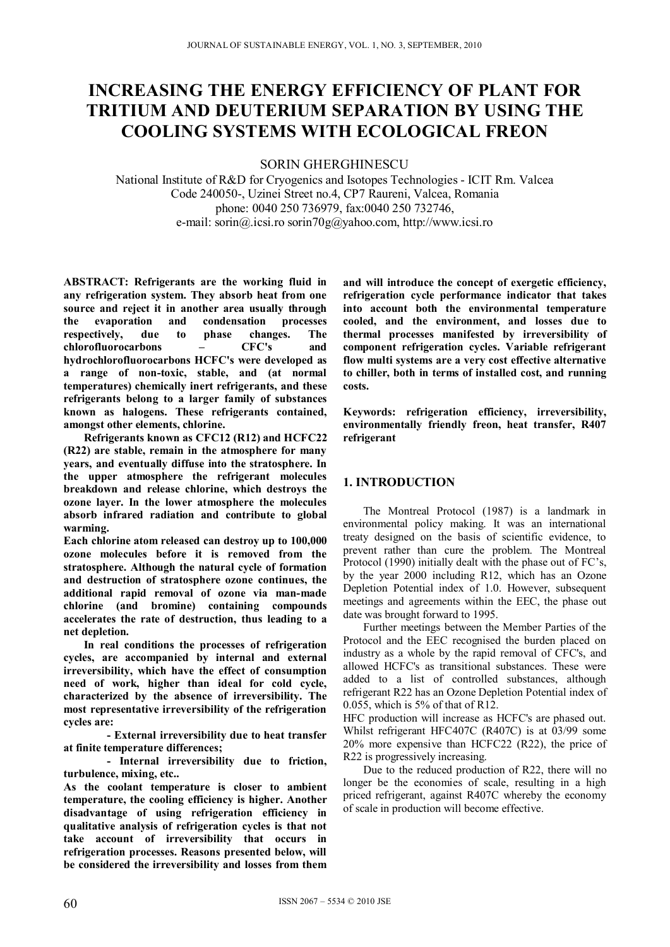# **INCREASING THE ENERGY EFFICIENCY OF PLANT FOR TRITIUM AND DEUTERIUM SEPARATION BY USING THE COOLING SYSTEMS WITH ECOLOGICAL FREON**

SORIN GHERGHINESCU

National Institute of R&D for Cryogenics and Isotopes Technologies - ICIT Rm. Valcea Code 240050-, Uzinei Street no.4, CP7 Raureni, Valcea, Romania phone: 0040 250 736979, fax:0040 250 732746, e-mail: sorin@.icsi.ro sorin70g@yahoo.com, http://www.icsi.ro

**ABSTRACT: Refrigerants are the working fluid in any refrigeration system. They absorb heat from one source and reject it in another area usually through the evaporation and condensation processes respectively, due to phase changes. The chlorofluorocarbons – CFC's and hydrochlorofluorocarbons HCFC's were developed as a range of non-toxic, stable, and (at normal temperatures) chemically inert refrigerants, and these refrigerants belong to a larger family of substances known as halogens. These refrigerants contained, amongst other elements, chlorine.** 

**Refrigerants known as CFC12 (R12) and HCFC22 (R22) are stable, remain in the atmosphere for many years, and eventually diffuse into the stratosphere. In the upper atmosphere the refrigerant molecules breakdown and release chlorine, which destroys the ozone layer. In the lower atmosphere the molecules absorb infrared radiation and contribute to global warming.** 

**Each chlorine atom released can destroy up to 100,000 ozone molecules before it is removed from the stratosphere. Although the natural cycle of formation and destruction of stratosphere ozone continues, the additional rapid removal of ozone via man-made chlorine (and bromine) containing compounds accelerates the rate of destruction, thus leading to a net depletion.** 

**In real conditions the processes of refrigeration cycles, are accompanied by internal and external irreversibility, which have the effect of consumption need of work, higher than ideal for cold cycle, characterized by the absence of irreversibility. The most representative irreversibility of the refrigeration cycles are:** 

 **- External irreversibility due to heat transfer at finite temperature differences;** 

 **- Internal irreversibility due to friction, turbulence, mixing, etc..** 

**As the coolant temperature is closer to ambient temperature, the cooling efficiency is higher. Another disadvantage of using refrigeration efficiency in qualitative analysis of refrigeration cycles is that not take account of irreversibility that occurs in refrigeration processes. Reasons presented below, will be considered the irreversibility and losses from them** 

**and will introduce the concept of exergetic efficiency, refrigeration cycle performance indicator that takes into account both the environmental temperature cooled, and the environment, and losses due to thermal processes manifested by irreversibility of component refrigeration cycles. Variable refrigerant flow multi systems are a very cost effective alternative to chiller, both in terms of installed cost, and running costs.** 

**Keywords: refrigeration efficiency, irreversibility, environmentally friendly freon, heat transfer, R407 refrigerant** 

# **1. INTRODUCTION**

The Montreal Protocol (1987) is a landmark in environmental policy making. It was an international treaty designed on the basis of scientific evidence, to prevent rather than cure the problem. The Montreal Protocol (1990) initially dealt with the phase out of FC's, by the year 2000 including R12, which has an Ozone Depletion Potential index of 1.0. However, subsequent meetings and agreements within the EEC, the phase out date was brought forward to 1995.

Further meetings between the Member Parties of the Protocol and the EEC recognised the burden placed on industry as a whole by the rapid removal of CFC's, and allowed HCFC's as transitional substances. These were added to a list of controlled substances, although refrigerant R22 has an Ozone Depletion Potential index of 0.055, which is 5% of that of R12.

HFC production will increase as HCFC's are phased out. Whilst refrigerant HFC407C (R407C) is at 03/99 some 20% more expensive than HCFC22 (R22), the price of R22 is progressively increasing.

Due to the reduced production of R22, there will no longer be the economies of scale, resulting in a high priced refrigerant, against R407C whereby the economy of scale in production will become effective.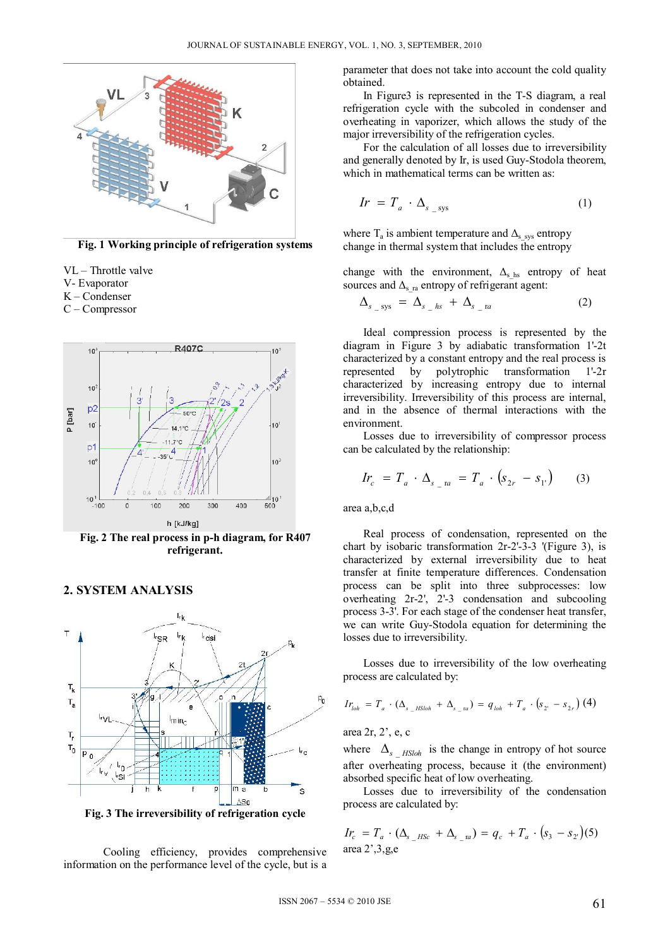

**Fig. 1 Working principle of refrigeration systems** 

- VL Throttle valve
- V- Evaporator
- K Condenser
- C Compressor



**Fig. 2 The real process in p-h diagram, for R407 refrigerant.** 



### **2. SYSTEM ANALYSIS**

**Fig. 3 The irreversibility of refrigeration cycle** 

 Cooling efficiency, provides comprehensive information on the performance level of the cycle, but is a parameter that does not take into account the cold quality obtained.

 In Figure3 is represented in the T-S diagram, a real refrigeration cycle with the subcoled in condenser and overheating in vaporizer, which allows the study of the major irreversibility of the refrigeration cycles.

 For the calculation of all losses due to irreversibility and generally denoted by Ir, is used Guy-Stodola theorem, which in mathematical terms can be written as:

$$
Ir = T_a \cdot \Delta_{s_{\text{sys}}} \tag{1}
$$

where  $T_a$  is ambient temperature and  $\Delta_{\rm s-sys}$  entropy change in thermal system that includes the entropy

change with the environment,  $\Delta_{s\text{hs}}$  entropy of heat sources and  $\Delta$ <sub>s ra</sub> entropy of refrigerant agent:

$$
\Delta_{s_{\text{g}}\text{sys}} = \Delta_{s_{\text{g}}\text{hs}} + \Delta_{s_{\text{g}}\text{ra}} \tag{2}
$$

 Ideal compression process is represented by the diagram in Figure 3 by adiabatic transformation 1'-2t characterized by a constant entropy and the real process is represented by polytrophic transformation 1'-2r characterized by increasing entropy due to internal irreversibility. Irreversibility of this process are internal, and in the absence of thermal interactions with the environment.

 Losses due to irreversibility of compressor process can be calculated by the relationship:

$$
Ir_c = T_a \cdot \Delta_{s \_1a} = T_a \cdot (s_{2r} - s_{1r}) \qquad (3)
$$

area a,b,c,d

 Real process of condensation, represented on the chart by isobaric transformation 2r-2'-3-3 '(Figure 3), is characterized by external irreversibility due to heat transfer at finite temperature differences. Condensation process can be split into three subprocesses: low overheating  $2r-2$ ',  $2^2-3$  condensation and subcooling process 3-3'. For each stage of the condenser heat transfer, we can write Guy-Stodola equation for determining the losses due to irreversibility.

 Losses due to irreversibility of the low overheating process are calculated by:

$$
Ir_{\text{lab}} = T_a \cdot (\Delta_{s_{\text{B}} - HS\text{lab}} + \Delta_{s_{\text{B}} - \text{ra}}) = q_{\text{lab}} + T_a \cdot (s_{2} - s_{2r}) \tag{4}
$$

area 2r, 2', e, c

where  $\Delta_{s}$  *HSloh* is the change in entropy of hot source after overheating process, because it (the environment) absorbed specific heat of low overheating.

 Losses due to irreversibility of the condensation process are calculated by:

$$
I_{c} = T_a \cdot (\Delta_{s_{\text{max}}} + \Delta_{s_{\text{max}}}) = q_c + T_a \cdot (s_3 - s_2) (5)
$$
  
area 2', 3, g, e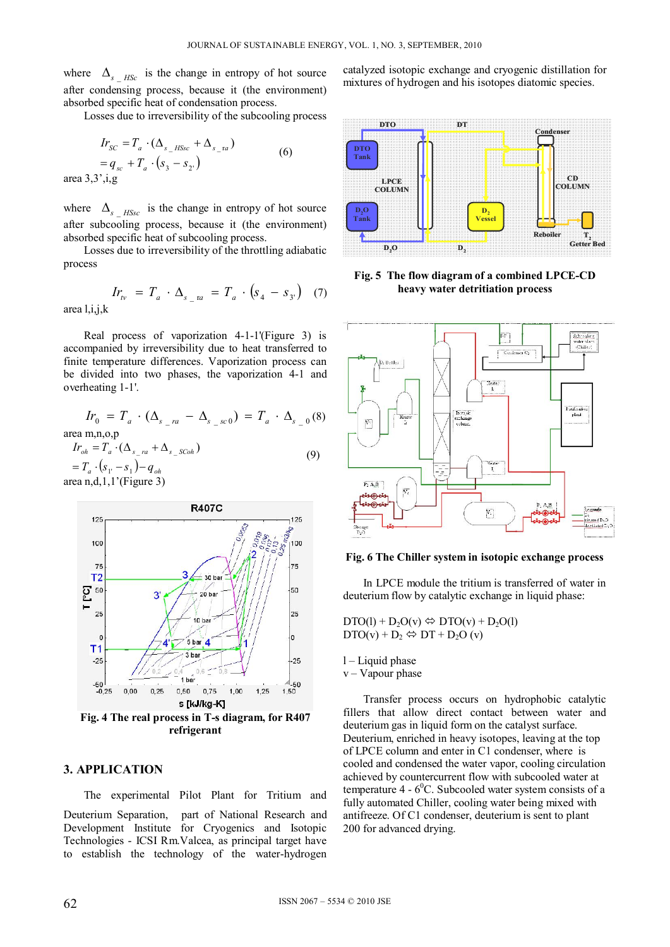where  $\Delta_{s\, HSc}$  is the change in entropy of hot source after condensing process, because it (the environment) absorbed specific heat of condensation process.

Losses due to irreversibility of the subcooling process

$$
Ir_{SC} = T_a \cdot (\Delta_{s_H SSC} + \Delta_{s_H S1})
$$
  
=  $q_{SC} + T_a \cdot (s_3 - s_2 \cdot)$  (6)

area  $3,3$ ',i,g

where  $\Delta_{s}$  *HSsc* is the change in entropy of hot source after subcooling process, because it (the environment) absorbed specific heat of subcooling process.

 Losses due to irreversibility of the throttling adiabatic process

$$
Irv = Ta \cdot \Delta_{s_1 a} = T_a \cdot (s_4 - s_3)
$$
 (7)

area l,i,j,k

 Real process of vaporization 4-1-1'(Figure 3) is accompanied by irreversibility due to heat transferred to finite temperature differences. Vaporization process can be divided into two phases, the vaporization 4-1 and overheating 1-1'.

$$
Ir_0 = T_a \cdot (\Delta_{s_{-}ra} - \Delta_{s_{-}sc0}) = T_a \cdot \Delta_{s_{-}0}(8)
$$

area m,n,o,p

$$
Iroh = Ta \cdot (\Delta_{s-ra} + \Delta_{s-SCoh})
$$
  
= T<sub>a</sub> \cdot (s<sub>1</sub> - s<sub>1</sub>) - q<sub>oh</sub>  
area n,d,1,1' (Figure 3) (9)



# **3. APPLICATION**

The experimental Pilot Plant for Tritium and

Deuterium Separation, part of National Research and Development Institute for Cryogenics and Isotopic Technologies - ICSI Rm.Valcea, as principal target have to establish the technology of the water-hydrogen catalyzed isotopic exchange and cryogenic distillation for mixtures of hydrogen and his isotopes diatomic species.



**Fig. 5 The flow diagram of a combined LPCE-CD heavy water detritiation process** 



#### **Fig. 6 The Chiller system in isotopic exchange process**

In LPCE module the tritium is transferred of water in deuterium flow by catalytic exchange in liquid phase:

 $DTO(1) + D<sub>2</sub>O(v) \Leftrightarrow DTO(v) + D<sub>2</sub>O(1)$  $DTO(v) + D_2 \Leftrightarrow DT + D_2O(v)$ 

l – Liquid phase

 $v - V$ apour phase

Transfer process occurs on hydrophobic catalytic fillers that allow direct contact between water and deuterium gas in liquid form on the catalyst surface. Deuterium, enriched in heavy isotopes, leaving at the top of LPCE column and enter in C1 condenser, where is cooled and condensed the water vapor, cooling circulation achieved by countercurrent flow with subcooled water at temperature  $4 - 6^0C$ . Subcooled water system consists of a fully automated Chiller, cooling water being mixed with antifreeze. Of C1 condenser, deuterium is sent to plant 200 for advanced drying.